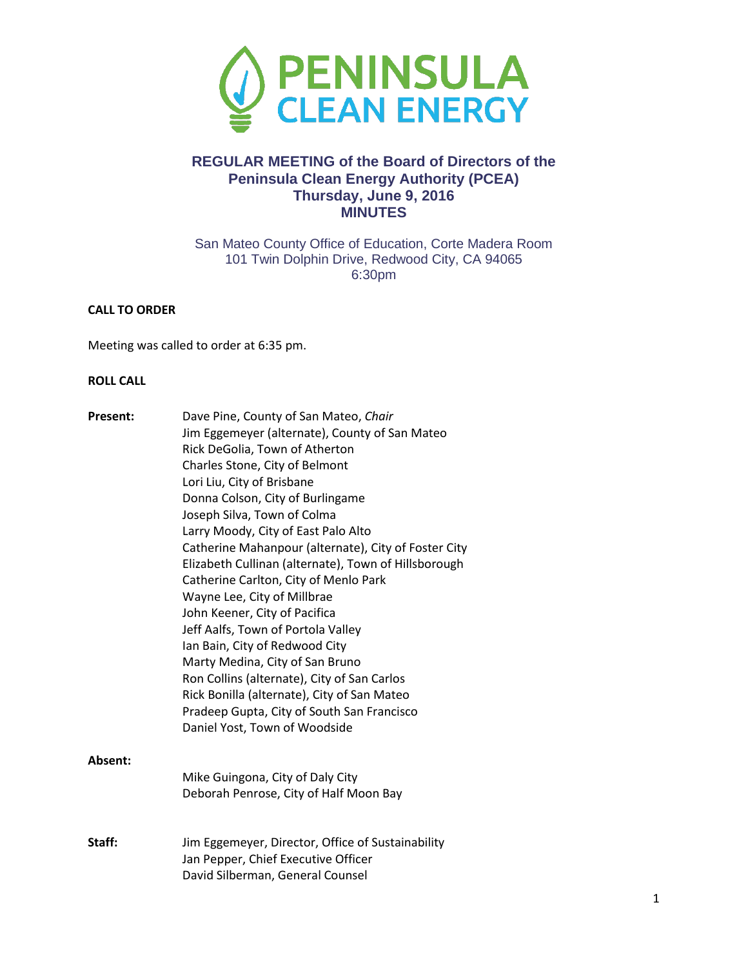

# **REGULAR MEETING of the Board of Directors of the Peninsula Clean Energy Authority (PCEA) Thursday, June 9, 2016 MINUTES**

San Mateo County Office of Education, Corte Madera Room 101 Twin Dolphin Drive, Redwood City, CA 94065 6:30pm

## **CALL TO ORDER**

Meeting was called to order at 6:35 pm.

## **ROLL CALL**

| <b>Present:</b> | Dave Pine, County of San Mateo, Chair                |
|-----------------|------------------------------------------------------|
|                 | Jim Eggemeyer (alternate), County of San Mateo       |
|                 | Rick DeGolia, Town of Atherton                       |
|                 | Charles Stone, City of Belmont                       |
|                 | Lori Liu, City of Brisbane                           |
|                 | Donna Colson, City of Burlingame                     |
|                 | Joseph Silva, Town of Colma                          |
|                 | Larry Moody, City of East Palo Alto                  |
|                 | Catherine Mahanpour (alternate), City of Foster City |
|                 | Elizabeth Cullinan (alternate), Town of Hillsborough |
|                 | Catherine Carlton, City of Menlo Park                |
|                 | Wayne Lee, City of Millbrae                          |
|                 | John Keener, City of Pacifica                        |
|                 | Jeff Aalfs, Town of Portola Valley                   |
|                 | Ian Bain, City of Redwood City                       |
|                 | Marty Medina, City of San Bruno                      |
|                 | Ron Collins (alternate), City of San Carlos          |
|                 | Rick Bonilla (alternate), City of San Mateo          |
|                 | Pradeep Gupta, City of South San Francisco           |
|                 | Daniel Yost, Town of Woodside                        |
| Absent:         |                                                      |
|                 | Mike Guingona, City of Daly City                     |
|                 | Deborah Penrose, City of Half Moon Bay               |
|                 |                                                      |
| Staff:          | Jim Eggemeyer, Director, Office of Sustainability    |
|                 | Jan Pepper, Chief Executive Officer                  |
|                 | David Silberman, General Counsel                     |
|                 |                                                      |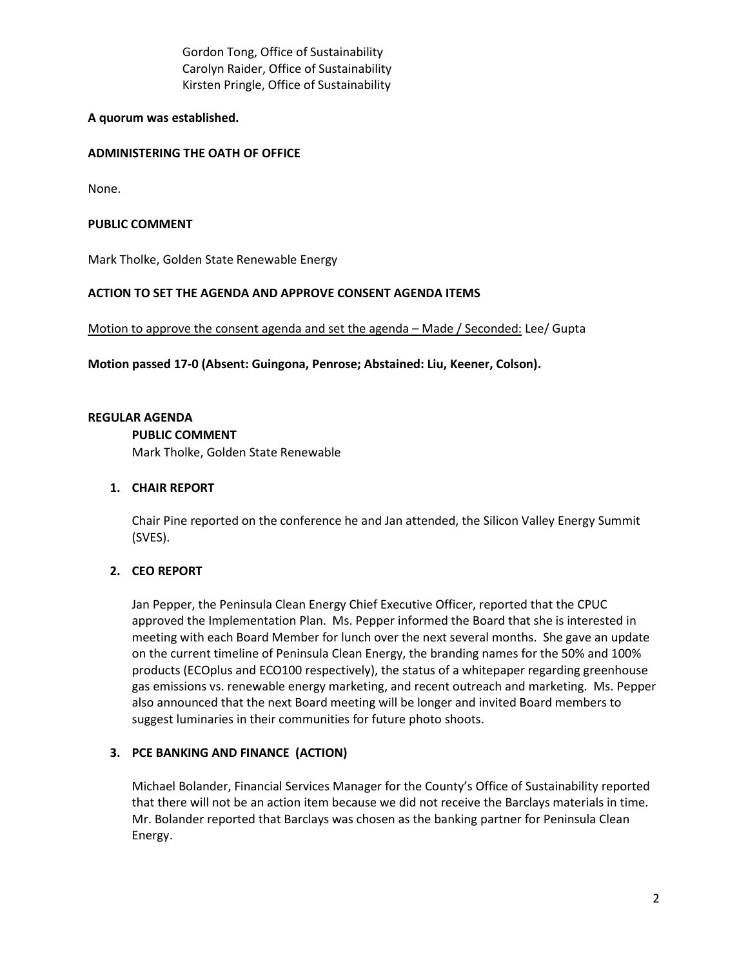Gordon Tong, Office of Sustainability Carolyn Raider, Office of Sustainability Kirsten Pringle, Office of Sustainability

## **A quorum was established.**

## **ADMINISTERING THE OATH OF OFFICE**

None.

#### **PUBLIC COMMENT**

Mark Tholke, Golden State Renewable Energy

## **ACTION TO SET THE AGENDA AND APPROVE CONSENT AGENDA ITEMS**

Motion to approve the consent agenda and set the agenda – Made / Seconded: Lee/ Gupta

**Motion passed 17-0 (Absent: Guingona, Penrose; Abstained: Liu, Keener, Colson).** 

#### **REGULAR AGENDA**

#### **PUBLIC COMMENT**

Mark Tholke, Golden State Renewable

#### **1. CHAIR REPORT**

Chair Pine reported on the conference he and Jan attended, the Silicon Valley Energy Summit (SVES).

# **2. CEO REPORT**

Jan Pepper, the Peninsula Clean Energy Chief Executive Officer, reported that the CPUC approved the Implementation Plan. Ms. Pepper informed the Board that she is interested in meeting with each Board Member for lunch over the next several months. She gave an update on the current timeline of Peninsula Clean Energy, the branding names for the 50% and 100% products (ECOplus and ECO100 respectively), the status of a whitepaper regarding greenhouse gas emissions vs. renewable energy marketing, and recent outreach and marketing. Ms. Pepper also announced that the next Board meeting will be longer and invited Board members to suggest luminaries in their communities for future photo shoots.

## **3. PCE BANKING AND FINANCE (ACTION)**

Michael Bolander, Financial Services Manager for the County's Office of Sustainability reported that there will not be an action item because we did not receive the Barclays materials in time. Mr. Bolander reported that Barclays was chosen as the banking partner for Peninsula Clean Energy.